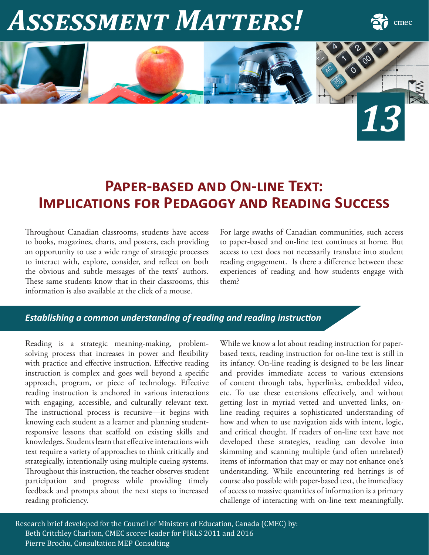# *Assessment Matters!*



*13*



# **Paper-based and On-line Text: Implications for Pedagogy and Reading Success**

Throughout Canadian classrooms, students have access to books, magazines, charts, and posters, each providing an opportunity to use a wide range of strategic processes to interact with, explore, consider, and reflect on both the obvious and subtle messages of the texts' authors. These same students know that in their classrooms, this information is also available at the click of a mouse.

For large swaths of Canadian communities, such access to paper-based and on-line text continues at home. But access to text does not necessarily translate into student reading engagement. Is there a difference between these experiences of reading and how students engage with them?

# *Establishing a common understanding of reading and reading instruction*

Reading is a strategic meaning-making, problemsolving process that increases in power and flexibility with practice and effective instruction. Effective reading instruction is complex and goes well beyond a specific approach, program, or piece of technology. Effective reading instruction is anchored in various interactions with engaging, accessible, and culturally relevant text. The instructional process is recursive—it begins with knowing each student as a learner and planning studentresponsive lessons that scaffold on existing skills and knowledges. Students learn that effective interactions with text require a variety of approaches to think critically and strategically, intentionally using multiple cueing systems. Throughout this instruction, the teacher observes student participation and progress while providing timely feedback and prompts about the next steps to increased reading proficiency.

While we know a lot about reading instruction for paperbased texts, reading instruction for on-line text is still in its infancy. On-line reading is designed to be less linear and provides immediate access to various extensions of content through tabs, hyperlinks, embedded video, etc. To use these extensions effectively, and without getting lost in myriad vetted and unvetted links, online reading requires a sophisticated understanding of how and when to use navigation aids with intent, logic, and critical thought. If readers of on-line text have not developed these strategies, reading can devolve into skimming and scanning multiple (and often unrelated) items of information that may or may not enhance one's understanding. While encountering red herrings is of course also possible with paper-based text, the immediacy of access to massive quantities of information is a primary challenge of interacting with on-line text meaningfully.

Research brief developed for the Council of Ministers of Education, Canada (CMEC) by: Beth Critchley Charlton, CMEC scorer leader for PIRLS 2011 and 2016 Pierre Brochu, Consultation MEP Consulting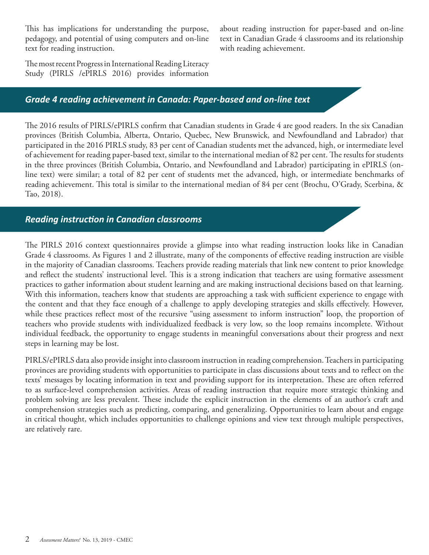This has implications for understanding the purpose, pedagogy, and potential of using computers and on-line text for reading instruction.

about reading instruction for paper-based and on-line text in Canadian Grade 4 classrooms and its relationship with reading achievement.

The most recent Progress in International Reading Literacy Study (PIRLS /ePIRLS 2016) provides information

# *Grade 4 reading achievement in Canada: Paper-based and on-line text*

The 2016 results of PIRLS/ePIRLS confirm that Canadian students in Grade 4 are good readers. In the six Canadian provinces (British Columbia, Alberta, Ontario, Quebec, New Brunswick, and Newfoundland and Labrador) that participated in the 2016 PIRLS study, 83 per cent of Canadian students met the advanced, high, or intermediate level of achievement for reading paper-based text, similar to the international median of 82 per cent. The results for students in the three provinces (British Columbia, Ontario, and Newfoundland and Labrador) participating in ePIRLS (online text) were similar; a total of 82 per cent of students met the advanced, high, or intermediate benchmarks of reading achievement. This total is similar to the international median of 84 per cent (Brochu, O'Grady, Scerbina, & Tao, 2018).

# *Reading instruction in Canadian classrooms*

The PIRLS 2016 context questionnaires provide a glimpse into what reading instruction looks like in Canadian Grade 4 classrooms. As Figures 1 and 2 illustrate, many of the components of effective reading instruction are visible in the majority of Canadian classrooms. Teachers provide reading materials that link new content to prior knowledge and reflect the students' instructional level. This is a strong indication that teachers are using formative assessment practices to gather information about student learning and are making instructional decisions based on that learning. With this information, teachers know that students are approaching a task with sufficient experience to engage with the content and that they face enough of a challenge to apply developing strategies and skills effectively. However, while these practices reflect most of the recursive "using assessment to inform instruction" loop, the proportion of teachers who provide students with individualized feedback is very low, so the loop remains incomplete. Without individual feedback, the opportunity to engage students in meaningful conversations about their progress and next steps in learning may be lost.

PIRLS/ePIRLS data also provide insight into classroom instruction in reading comprehension. Teachers in participating provinces are providing students with opportunities to participate in class discussions about texts and to reflect on the texts' messages by locating information in text and providing support for its interpretation. These are often referred to as surface-level comprehension activities. Areas of reading instruction that require more strategic thinking and problem solving are less prevalent. These include the explicit instruction in the elements of an author's craft and comprehension strategies such as predicting, comparing, and generalizing. Opportunities to learn about and engage in critical thought, which includes opportunities to challenge opinions and view text through multiple perspectives, are relatively rare.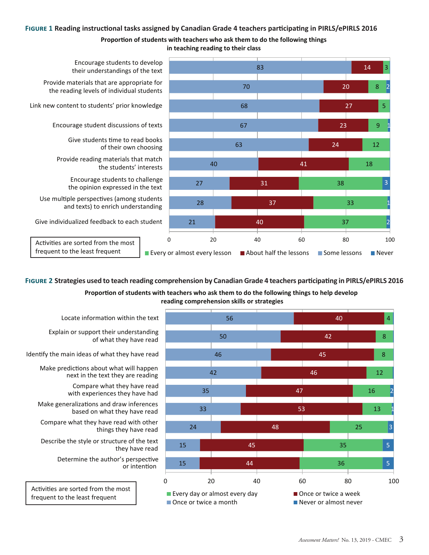#### **Figure 1 Reading instructional tasks assigned by Canadian Grade 4 teachers participating in PIRLS/ePIRLS 2016**



**in teaching reading to their class**



# **Figure 2 Strategies used to teach reading comprehension by Canadian Grade 4 teachers participating in PIRLS/ePIRLS 2016 Propor�on of students with teachers who ask them to do the following things to help develop**

**reading comprehension skills or strategies**



Identify the main ideas of what they have read Make predictions about what will happen next in the text they are reading

Compare what they have read with experiences they have had

Locate information within the text

of what they have read

Explain or support their understanding

Make generalizations and draw inferences based on what they have read

Compare what they have read with other things they have read

Describe the style or structure of the text they have read

> Determine the author's perspective or inten�on

Activities are sorted from the most frequent to the least frequent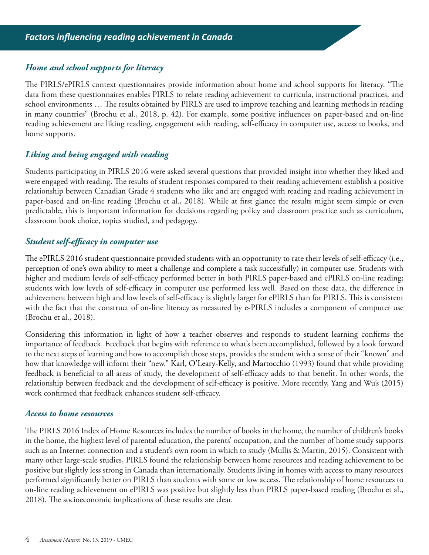# *Home and school supports for literacy*

The PIRLS/ePIRLS context questionnaires provide information about home and school supports for literacy. "The data from these questionnaires enables PIRLS to relate reading achievement to curricula, instructional practices, and school environments … The results obtained by PIRLS are used to improve teaching and learning methods in reading in many countries" (Brochu et al., 2018, p. 42). For example, some positive influences on paper-based and on-line reading achievement are liking reading, engagement with reading, self-efficacy in computer use, access to books, and home supports.

# *Liking and being engaged with reading*

Students participating in PIRLS 2016 were asked several questions that provided insight into whether they liked and were engaged with reading. The results of student responses compared to their reading achievement establish a positive relationship between Canadian Grade 4 students who like and are engaged with reading and reading achievement in paper-based and on-line reading (Brochu et al., 2018). While at first glance the results might seem simple or even predictable, this is important information for decisions regarding policy and classroom practice such as curriculum, classroom book choice, topics studied, and pedagogy.

# *Student self-efficacy in computer use*

The ePIRLS 2016 student questionnaire provided students with an opportunity to rate their levels of self-efficacy (i.e., perception of one's own ability to meet a challenge and complete a task successfully) in computer use. Students with higher and medium levels of self-efficacy performed better in both PIRLS paper-based and ePIRLS on-line reading; students with low levels of self-efficacy in computer use performed less well. Based on these data, the difference in achievement between high and low levels of self-efficacy is slightly larger for ePIRLS than for PIRLS. This is consistent with the fact that the construct of on-line literacy as measured by e-PIRLS includes a component of computer use (Brochu et al., 2018).

Considering this information in light of how a teacher observes and responds to student learning confirms the importance of feedback. Feedback that begins with reference to what's been accomplished, followed by a look forward to the next steps of learning and how to accomplish those steps, provides the student with a sense of their "known" and how that knowledge will inform their "new." Karl, O'Leary-Kelly, and Martocchio (1993) found that while providing feedback is beneficial to all areas of study, the development of self-efficacy adds to that benefit. In other words, the relationship between feedback and the development of self-efficacy is positive. More recently, Yang and Wu's (2015) work confirmed that feedback enhances student self-efficacy.

# *Access to home resources*

The PIRLS 2016 Index of Home Resources includes the number of books in the home, the number of children's books in the home, the highest level of parental education, the parents' occupation, and the number of home study supports such as an Internet connection and a student's own room in which to study (Mullis & Martin, 2015). Consistent with many other large-scale studies, PIRLS found the relationship between home resources and reading achievement to be positive but slightly less strong in Canada than internationally. Students living in homes with access to many resources performed significantly better on PIRLS than students with some or low access. The relationship of home resources to on-line reading achievement on ePIRLS was positive but slightly less than PIRLS paper-based reading (Brochu et al., 2018). The socioeconomic implications of these results are clear.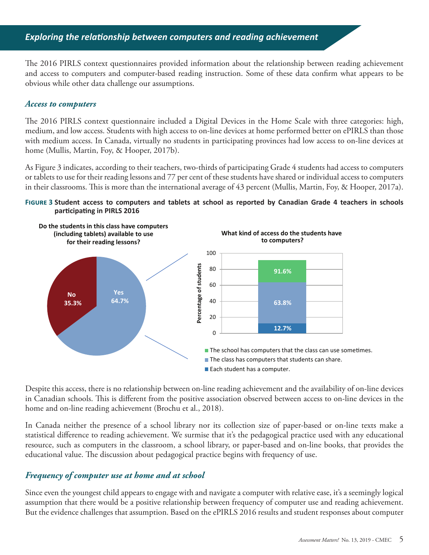# *Exploring the relationship between computers and reading achievement*

The 2016 PIRLS context questionnaires provided information about the relationship between reading achievement and access to computers and computer-based reading instruction. Some of these data confirm what appears to be obvious while other data challenge our assumptions.

#### *Access to computers*

The 2016 PIRLS context questionnaire included a Digital Devices in the Home Scale with three categories: high, medium, and low access. Students with high access to on-line devices at home performed better on ePIRLS than those with medium access. In Canada, virtually no students in participating provinces had low access to on-line devices at home (Mullis, Martin, Foy, & Hooper, 2017b).

As Figure 3 indicates, according to their teachers, two-thirds of participating Grade 4 students had access to computers or tablets to use for their reading lessons and 77 per cent of these students have shared or individual access to computers in their classrooms. This is more than the international average of 43 percent (Mullis, Martin, Foy, & Hooper, 2017a).

#### **Figure 3 Student access to computers and tablets at school as reported by Canadian Grade 4 teachers in schools participating in PIRLS 2016**



Despite this access, there is no relationship between on-line reading achievement and the availability of on-line devices in Canadian schools. This is different from the positive association observed between access to on-line devices in the home and on-line reading achievement (Brochu et al., 2018).

In Canada neither the presence of a school library nor its collection size of paper-based or on-line texts make a statistical difference to reading achievement. We surmise that it's the pedagogical practice used with any educational resource, such as computers in the classroom, a school library, or paper-based and on-line books, that provides the educational value. The discussion about pedagogical practice begins with frequency of use.

### *Frequency of computer use at home and at school*

Since even the youngest child appears to engage with and navigate a computer with relative ease, it's a seemingly logical assumption that there would be a positive relationship between frequency of computer use and reading achievement. But the evidence challenges that assumption. Based on the ePIRLS 2016 results and student responses about computer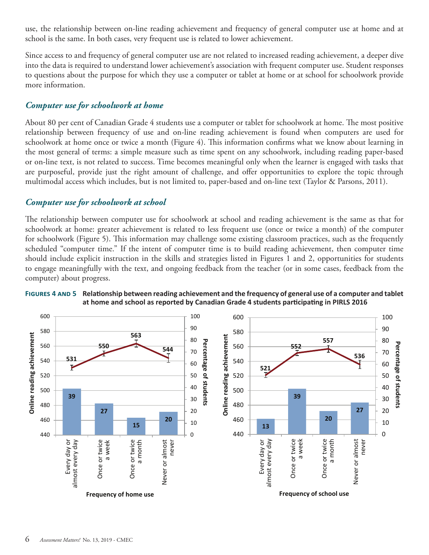use, the relationship between on-line reading achievement and frequency of general computer use at home and at school is the same. In both cases, very frequent use is related to lower achievement.

Since access to and frequency of general computer use are not related to increased reading achievement, a deeper dive into the data is required to understand lower achievement's association with frequent computer use. Student responses to questions about the purpose for which they use a computer or tablet at home or at school for schoolwork provide more information.

# *Computer use for schoolwork at home*

About 80 per cent of Canadian Grade 4 students use a computer or tablet for schoolwork at home. The most positive relationship between frequency of use and on-line reading achievement is found when computers are used for schoolwork at home once or twice a month (Figure 4). This information confirms what we know about learning in the most general of terms: a simple measure such as time spent on any schoolwork, including reading paper-based or on-line text, is not related to success. Time becomes meaningful only when the learner is engaged with tasks that are purposeful, provide just the right amount of challenge, and offer opportunities to explore the topic through multimodal access which includes, but is not limited to, paper-based and on-line text (Taylor & Parsons, 2011).

# *Computer use for schoolwork at school*

The relationship between computer use for schoolwork at school and reading achievement is the same as that for schoolwork at home: greater achievement is related to less frequent use (once or twice a month) of the computer for schoolwork (Figure 5). This information may challenge some existing classroom practices, such as the frequently scheduled "computer time." If the intent of computer time is to build reading achievement, then computer time should include explicit instruction in the skills and strategies listed in Figures 1 and 2, opportunities for students to engage meaningfully with the text, and ongoing feedback from the teacher (or in some cases, feedback from the computer) about progress.



#### **Figures 4 and 5 Relationship between reading achievement and the frequency of general use of a computer and tablet at home and school as reported by Canadian Grade 4 students participating in PIRLS 2016**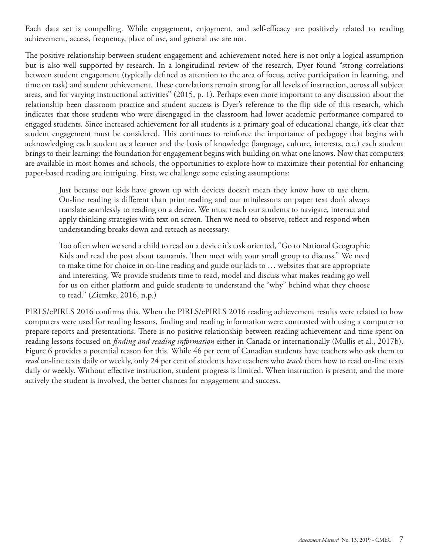Each data set is compelling. While engagement, enjoyment, and self-efficacy are positively related to reading achievement, access, frequency, place of use, and general use are not.

The positive relationship between student engagement and achievement noted here is not only a logical assumption but is also well supported by research. In a longitudinal review of the research, Dyer found "strong correlations between student engagement (typically defined as attention to the area of focus, active participation in learning, and time on task) and student achievement. These correlations remain strong for all levels of instruction, across all subject areas, and for varying instructional activities" (2015, p. 1). Perhaps even more important to any discussion about the relationship been classroom practice and student success is Dyer's reference to the flip side of this research, which indicates that those students who were disengaged in the classroom had lower academic performance compared to engaged students. Since increased achievement for all students is a primary goal of educational change, it's clear that student engagement must be considered. This continues to reinforce the importance of pedagogy that begins with acknowledging each student as a learner and the basis of knowledge (language, culture, interests, etc.) each student brings to their learning: the foundation for engagement begins with building on what one knows. Now that computers are available in most homes and schools, the opportunities to explore how to maximize their potential for enhancing paper-based reading are intriguing. First, we challenge some existing assumptions:

Just because our kids have grown up with devices doesn't mean they know how to use them. On-line reading is different than print reading and our minilessons on paper text don't always translate seamlessly to reading on a device. We must teach our students to navigate, interact and apply thinking strategies with text on screen. Then we need to observe, reflect and respond when understanding breaks down and reteach as necessary.

Too often when we send a child to read on a device it's task oriented, "Go to National Geographic Kids and read the post about tsunamis. Then meet with your small group to discuss." We need to make time for choice in on-line reading and guide our kids to … websites that are appropriate and interesting. We provide students time to read, model and discuss what makes reading go well for us on either platform and guide students to understand the "why" behind what they choose to read." (Ziemke, 2016, n.p.)

PIRLS/ePIRLS 2016 confirms this. When the PIRLS/ePIRLS 2016 reading achievement results were related to how computers were used for reading lessons, finding and reading information were contrasted with using a computer to prepare reports and presentations. There is no positive relationship between reading achievement and time spent on reading lessons focused on *finding and reading information* either in Canada or internationally (Mullis et al., 2017b). Figure 6 provides a potential reason for this. While 46 per cent of Canadian students have teachers who ask them to *read* on-line texts daily or weekly, only 24 per cent of students have teachers who *teach* them how to read on-line texts daily or weekly. Without effective instruction, student progress is limited. When instruction is present, and the more actively the student is involved, the better chances for engagement and success.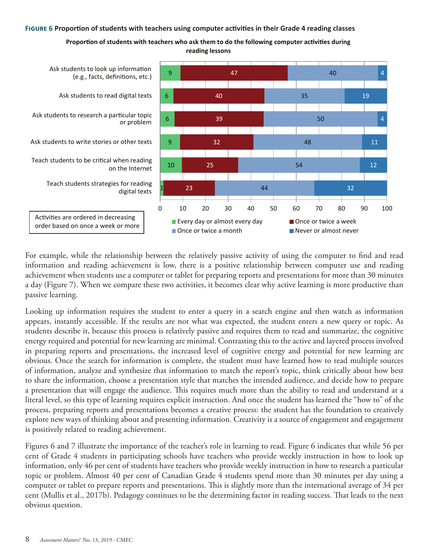#### **Figure 6 Proportion of students with teachers using computer activities in their Grade 4 reading classes**



Proportion of students with teachers who ask them to do the following computer activities during **reading lessons**

For example, while the relationship between the relatively passive activity of using the computer to find and read information and reading achievement is low, there is a positive relationship between computer use and reading achievement when students use a computer or tablet for preparing reports and presentations for more than 30 minutes a day (Figure 7). When we compare these two activities, it becomes clear why active learning is more productive than passive learning.

Looking up information requires the student to enter a query in a search engine and then watch as information appears, instantly accessible. If the results are not what was expected, the student enters a new query or topic. As students describe it, because this process is relatively passive and requires them to read and summarize, the cognitive energy required and potential for new learning are minimal. Contrasting this to the active and layered process involved in preparing reports and presentations, the increased level of cognitive energy and potential for new learning are obvious. Once the search for information is complete, the student must have learned how to read multiple sources of information, analyze and synthesize that information to match the report's topic, think critically about how best to share the information, choose a presentation style that matches the intended audience, and decide how to prepare a presentation that will engage the audience. This requires much more than the ability to read and understand at a literal level, so this type of learning requires explicit instruction. And once the student has learned the "how to" of the process, preparing reports and presentations becomes a creative process: the student has the foundation to creatively explore new ways of thinking about and presenting information. Creativity is a source of engagement and engagement is positively related to reading achievement.

Figures 6 and 7 illustrate the importance of the teacher's role in learning to read. Figure 6 indicates that while 56 per cent of Grade 4 students in participating schools have teachers who provide weekly instruction in how to look up information, only 46 per cent of students have teachers who provide weekly instruction in how to research a particular topic or problem. Almost 40 per cent of Canadian Grade 4 students spend more than 30 minutes per day using a computer or tablet to prepare reports and presentations. This is slightly more than the international average of 34 per cent (Mullis et al., 2017b). Pedagogy continues to be the determining factor in reading success. That leads to the next obvious question.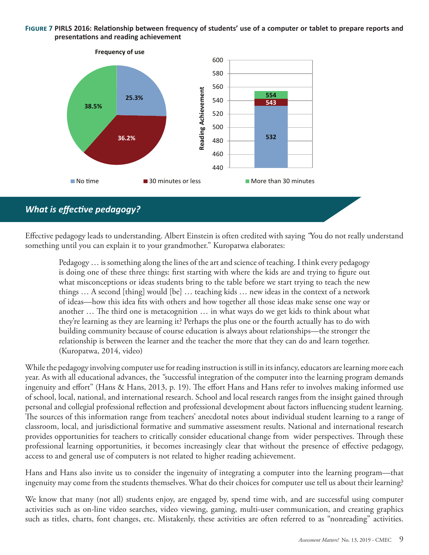#### **Figure 7 PIRLS 2016: Relationship between frequency of students' use of a computer or tablet to prepare reports and presentations and reading achievement**



# *What is effective pedagogy?*

Effective pedagogy leads to understanding. Albert Einstein is often credited with saying *"*You do not really understand something until you can explain it to your grandmother." Kuropatwa elaborates:

Pedagogy … is something along the lines of the art and science of teaching. I think every pedagogy is doing one of these three things: first starting with where the kids are and trying to figure out what misconceptions or ideas students bring to the table before we start trying to teach the new things … A second [thing] would [be] … teaching kids … new ideas in the context of a network of ideas—how this idea fits with others and how together all those ideas make sense one way or another … The third one is metacognition … in what ways do we get kids to think about what they're learning as they are learning it? Perhaps the plus one or the fourth actually has to do with building community because of course education is always about relationships—the stronger the relationship is between the learner and the teacher the more that they can do and learn together. (Kuropatwa, 2014, video)

While the pedagogy involving computer use for reading instruction is still in its infancy, educators are learning more each year. As with all educational advances, the *"*successful integration of the computer into the learning program demands ingenuity and effort" (Hans & Hans, 2013, p. 19). The effort Hans and Hans refer to involves making informed use of school, local, national, and international research. School and local research ranges from the insight gained through personal and collegial professional reflection and professional development about factors influencing student learning. The sources of this information range from teachers' anecdotal notes about individual student learning to a range of classroom, local, and jurisdictional formative and summative assessment results. National and international research provides opportunities for teachers to critically consider educational change from wider perspectives. Through these professional learning opportunities, it becomes increasingly clear that without the presence of effective pedagogy, access to and general use of computers is not related to higher reading achievement.

Hans and Hans also invite us to consider the ingenuity of integrating a computer into the learning program—that ingenuity may come from the students themselves. What do their choices for computer use tell us about their learning?

We know that many (not all) students enjoy, are engaged by, spend time with, and are successful using computer activities such as on-line video searches, video viewing, gaming, multi-user communication, and creating graphics such as titles, charts, font changes, etc. Mistakenly, these activities are often referred to as "nonreading" activities.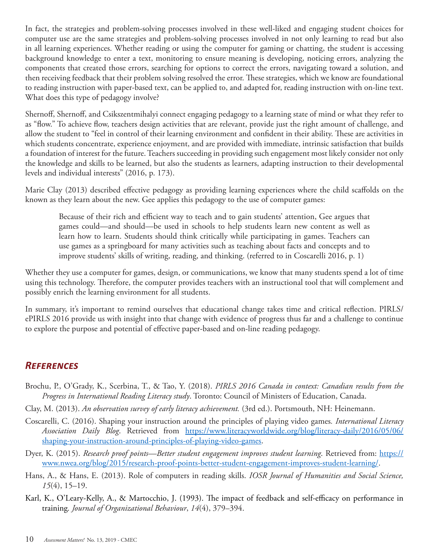In fact, the strategies and problem-solving processes involved in these well-liked and engaging student choices for computer use are the same strategies and problem-solving processes involved in not only learning to read but also in all learning experiences. Whether reading or using the computer for gaming or chatting, the student is accessing background knowledge to enter a text, monitoring to ensure meaning is developing, noticing errors, analyzing the components that created those errors, searching for options to correct the errors, navigating toward a solution, and then receiving feedback that their problem solving resolved the error. These strategies, which we know are foundational to reading instruction with paper-based text, can be applied to, and adapted for, reading instruction with on-line text. What does this type of pedagogy involve?

Shernoff, Shernoff, and Csikszentmihalyi connect engaging pedagogy to a learning state of mind or what they refer to as "flow." To achieve flow, teachers design activities that are relevant, provide just the right amount of challenge, and allow the student to "feel in control of their learning environment and confident in their ability. These are activities in which students concentrate, experience enjoyment, and are provided with immediate, intrinsic satisfaction that builds a foundation of interest for the future. Teachers succeeding in providing such engagement most likely consider not only the knowledge and skills to be learned, but also the students as learners, adapting instruction to their developmental levels and individual interests" (2016, p. 173).

Marie Clay (2013) described effective pedagogy as providing learning experiences where the child scaffolds on the known as they learn about the new. Gee applies this pedagogy to the use of computer games:

Because of their rich and efficient way to teach and to gain students' attention, Gee argues that games could—and should—be used in schools to help students learn new content as well as learn how to learn. Students should think critically while participating in games. Teachers can use games as a springboard for many activities such as teaching about facts and concepts and to improve students' skills of writing, reading, and thinking. (referred to in Coscarelli 2016, p. 1)

Whether they use a computer for games, design, or communications, we know that many students spend a lot of time using this technology. Therefore, the computer provides teachers with an instructional tool that will complement and possibly enrich the learning environment for all students.

In summary, it's important to remind ourselves that educational change takes time and critical reflection. PIRLS/ ePIRLS 2016 provide us with insight into that change with evidence of progress thus far and a challenge to continue to explore the purpose and potential of effective paper-based and on-line reading pedagogy.

# *References*

Brochu, P., O'Grady, K., Scerbina, T., & Tao, Y. (2018). *PIRLS 2016 Canada in context: Canadian results from the Progress in International Reading Literacy study*. Toronto: Council of Ministers of Education, Canada.

Clay, M. (2013). *An observation survey of early literacy achievement.* (3rd ed.). Portsmouth, NH: Heinemann.

- Coscarelli, C. (2016). Shaping your instruction around the principles of playing video games*. International Literacy Association Daily Blog*. Retrieved from [https://www.literacyworldwide.org/blog/literacy-daily/2016/05/06/](https://www.literacyworldwide.org/blog/literacy-daily/2016/05/06/shaping-your-instruction-around-principles-of-playing-video-games) [shaping-your-instruction-around-principles-of-playing-video-games](https://www.literacyworldwide.org/blog/literacy-daily/2016/05/06/shaping-your-instruction-around-principles-of-playing-video-games).
- Dyer, K. (2015). *Research proof points—Better student engagement improves student learning*. Retrieved from: *[https://](https://www.nwea.org/blog/2015/research-proof-points-better-student-engagement-improves-student-learning/)* [www.nwea.org/blog/2015/research-proof-points-better-student-engagement-improves-student-learning/](https://www.nwea.org/blog/2015/research-proof-points-better-student-engagement-improves-student-learning/).
- Hans, A., & Hans, E. (2013). Role of computers in reading skills. *IOSR Journal of Humanities and Social Science, 15*(4), 15–19.
- Karl, K., O'Leary-Kelly, A., & Martocchio, J. (1993). The impact of feedback and self-efficacy on performance in training*. Journal of Organizational Behaviour*, *14*(4), 379–394.